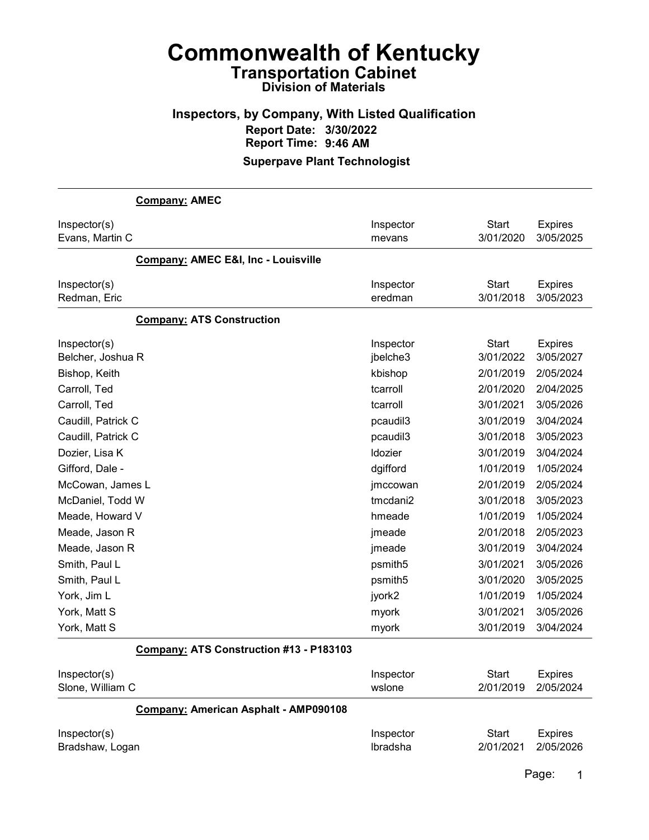#### Inspectors, by Company, With Listed Qualification Report Date: 3/30/2022 Report Time: 9:46 AM Superpave Plant Technologist

Company: AMEC Inspector(s) **Inspector** Start Expires Evans, Martin C mevans 3/01/2020 3/05/2025 Company: AMEC E&I, Inc - Louisville Inspector(s) **Inspector** Start Expires Redman, Eric eredman 3/01/2018 3/05/2023 Company: ATS Construction Inspector(s) **Inspector** Start Expires Belcher, Joshua R jbelche3 3/01/2022 3/05/2027 Bishop, Keith kbishop 2/01/2019 2/05/2024 Carroll, Ted tcarroll 2/01/2020 2/04/2025 Carroll, Ted tcarroll 3/01/2021 3/05/2026 Caudill, Patrick C pcaudil3 3/01/2019 3/04/2024 Caudill, Patrick C pcaudil3 3/01/2018 3/05/2023 Dozier, Lisa K ldozier 3/01/2019 3/04/2024 Gifford, Dale - dgifford 1/01/2019 1/05/2024 McCowan, James L jmccowan 2/01/2019 2/05/2024 McDaniel, Todd W tmcdani2 3/01/2018 3/05/2023 Meade, Howard V hmeade 1/01/2019 1/05/2024 Meade, Jason R jmeade 2/01/2018 2/05/2023 Meade, Jason R jmeade 3/01/2019 3/04/2024 Smith, Paul L psmith5 3/01/2021 3/05/2026 Smith, Paul L psmith5 3/01/2020 3/05/2025 York, Jim L jyork2 1/01/2019 1/05/2024 York, Matt S myork 3/01/2021 3/05/2026 York, Matt S myork 3/01/2019 3/04/2024 Company: ATS Construction #13 - P183103

| Inspector(s)                          | Inspector | Start     | Expires        |
|---------------------------------------|-----------|-----------|----------------|
| Slone, William C                      | wslone    | 2/01/2019 | 2/05/2024      |
| Company: American Asphalt - AMP090108 |           |           |                |
| Inspector(s)                          | Inspector | Start     | <b>Expires</b> |
| Bradshaw, Logan                       | Ibradsha  | 2/01/2021 | 2/05/2026      |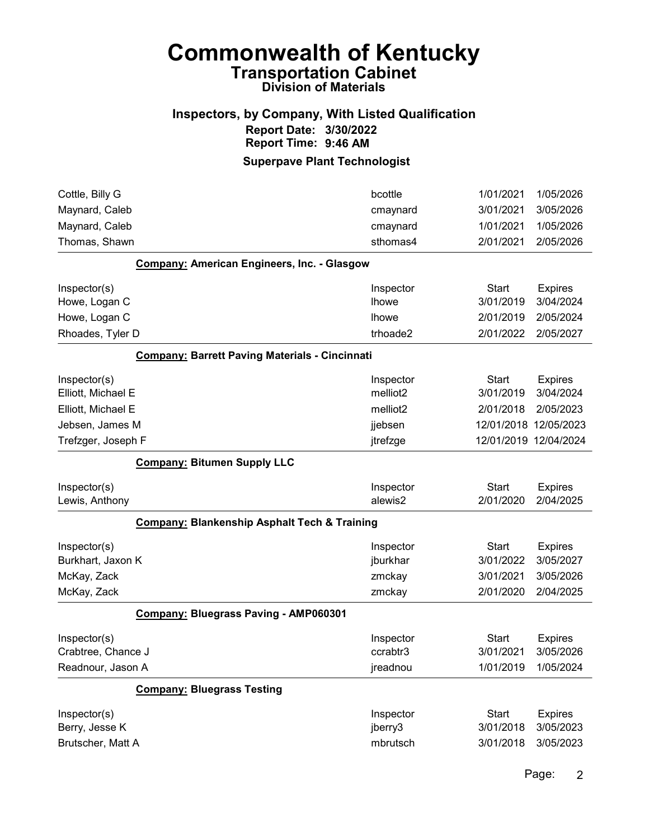## Inspectors, by Company, With Listed Qualification Report Date: 3/30/2022 Report Time: 9:46 AM

| Cottle, Billy G                                         | bcottle      | 1/01/2021    | 1/05/2026             |
|---------------------------------------------------------|--------------|--------------|-----------------------|
| Maynard, Caleb                                          | cmaynard     | 3/01/2021    | 3/05/2026             |
| Maynard, Caleb                                          | cmaynard     | 1/01/2021    | 1/05/2026             |
| Thomas, Shawn                                           | sthomas4     | 2/01/2021    | 2/05/2026             |
| Company: American Engineers, Inc. - Glasgow             |              |              |                       |
| Inspector(s)                                            | Inspector    | <b>Start</b> | <b>Expires</b>        |
| Howe, Logan C                                           | <b>Ihowe</b> | 3/01/2019    | 3/04/2024             |
| Howe, Logan C                                           | <b>Ihowe</b> | 2/01/2019    | 2/05/2024             |
| Rhoades, Tyler D                                        | trhoade2     | 2/01/2022    | 2/05/2027             |
| <b>Company: Barrett Paving Materials - Cincinnati</b>   |              |              |                       |
| Inspector(s)                                            | Inspector    | <b>Start</b> | <b>Expires</b>        |
| Elliott, Michael E                                      | melliot2     | 3/01/2019    | 3/04/2024             |
| Elliott, Michael E                                      | melliot2     | 2/01/2018    | 2/05/2023             |
| Jebsen, James M                                         | jjebsen      |              | 12/01/2018 12/05/2023 |
| Trefzger, Joseph F                                      | jtrefzge     |              | 12/01/2019 12/04/2024 |
| <b>Company: Bitumen Supply LLC</b>                      |              |              |                       |
| Inspector(s)                                            | Inspector    | <b>Start</b> | <b>Expires</b>        |
| Lewis, Anthony                                          | alewis2      | 2/01/2020    | 2/04/2025             |
| <b>Company: Blankenship Asphalt Tech &amp; Training</b> |              |              |                       |
| Inspector(s)                                            | Inspector    | <b>Start</b> | <b>Expires</b>        |
| Burkhart, Jaxon K                                       | jburkhar     | 3/01/2022    | 3/05/2027             |
| McKay, Zack                                             | zmckay       | 3/01/2021    | 3/05/2026             |
| McKay, Zack                                             | zmckay       | 2/01/2020    | 2/04/2025             |
| Company: Bluegrass Paving - AMP060301                   |              |              |                       |
| Inspector(s)                                            | Inspector    | <b>Start</b> | <b>Expires</b>        |
| Crabtree, Chance J                                      | ccrabtr3     | 3/01/2021    | 3/05/2026             |
| Readnour, Jason A                                       | jreadnou     | 1/01/2019    | 1/05/2024             |
| <b>Company: Bluegrass Testing</b>                       |              |              |                       |
| Inspector(s)                                            | Inspector    | <b>Start</b> | <b>Expires</b>        |
| Berry, Jesse K                                          | jberry3      | 3/01/2018    | 3/05/2023             |
| Brutscher, Matt A                                       | mbrutsch     | 3/01/2018    | 3/05/2023             |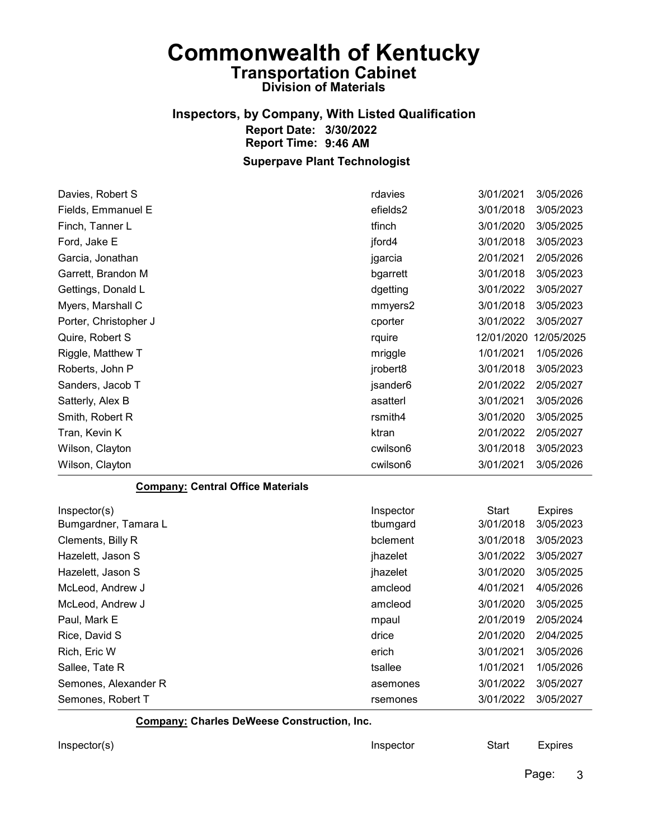#### Inspectors, by Company, With Listed Qualification Report Date: 3/30/2022 Report Time: 9:46 AM Superpave Plant Technologist

Davies, Robert S rdavies 3/01/2021 3/05/2026 Fields, Emmanuel E efields2 3/01/2018 3/05/2023 Finch, Tanner L tfinch 3/01/2020 3/05/2025 Ford, Jake E jford4 3/01/2018 3/05/2023 Garcia, Jonathan jgarcia 2/01/2021 2/05/2026 Garrett, Brandon M bgarrett 3/01/2018 3/05/2023 Gettings, Donald L and Content of the Secret Australian Content of the distribution of the distribution of the distribution of the distribution of the distribution of the distribution of the distribution of the distributio Myers, Marshall C mmyers2 3/01/2018 3/05/2023 Porter, Christopher J cporter 3/01/2022 3/05/2027 Quire, Robert S rquire 12/01/2020 12/05/2025 Riggle, Matthew T mriggle 1/01/2021 1/05/2026 Roberts, John P jrobert8 3/01/2018 3/05/2023 Sanders, Jacob T jsander6 2/01/2022 2/05/2027 Satterly, Alex B asatterl 3/01/2021 3/05/2026 Smith, Robert R rsmith4 3/01/2020 3/05/2025 Tran, Kevin K ktran 2/01/2022 2/05/2027 Wilson, Clayton cwilson6 3/01/2018 3/05/2023 Wilson, Clayton cwilson6 3/01/2021 3/05/2026 Company: Central Office Materials Inspector(s) **Inspector** Start Expires Bumgardner, Tamara L tbumgard 3/01/2018 3/05/2023 Clements, Billy R bclement 3/01/2018 3/05/2023 Hazelett, Jason S jhazelet 3/01/2022 3/05/2027 Hazelett, Jason S<br>  $\mu$  3/01/2020 3/05/2025

McLeod, Andrew J amcleod 4/01/2021 4/05/2026 McLeod, Andrew J amcleod 3/01/2020 3/05/2025 Paul, Mark E mpaul 2/01/2019 2/05/2024 Rice, David S drice 2/01/2020 2/04/2025 Rich, Eric W erich 3/01/2021 3/05/2026 Sallee, Tate R tsallee 1/01/2021 1/05/2026 Semones, Alexander R assemble 3/01/2022 3/05/2027 Semones, Robert T and Transfer Controller Semones and Structure 3/01/2022 3/05/2027

Company: Charles DeWeese Construction, Inc.

Inspector(s) **Inspector** Start Expires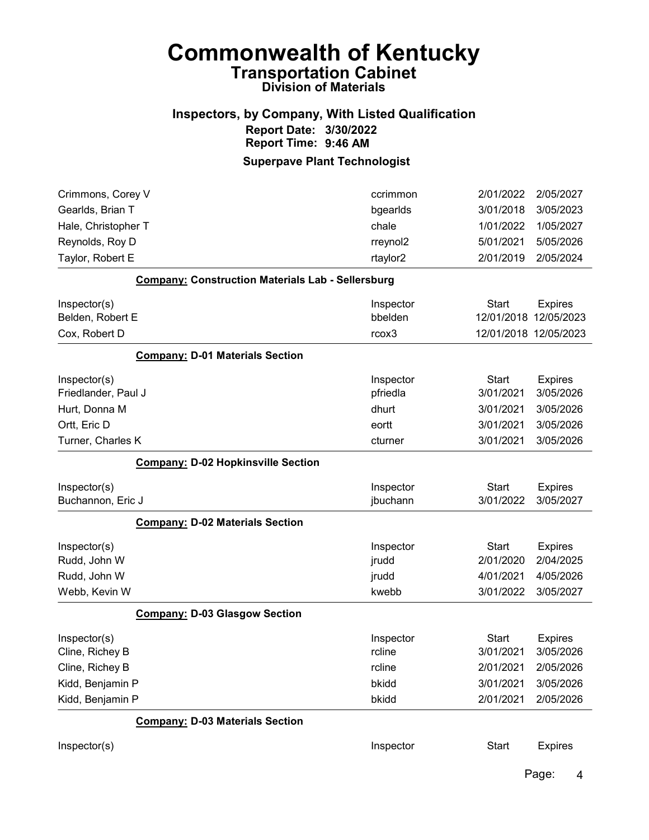## Inspectors, by Company, With Listed Qualification Report Date: 3/30/2022 Report Time: 9:46 AM

## Superpave Plant Technologist

| Crimmons, Corey V                 |                                                          | ccrimmon              | 2/01/2022                 | 2/05/2027                   |
|-----------------------------------|----------------------------------------------------------|-----------------------|---------------------------|-----------------------------|
| Gearlds, Brian T                  |                                                          | bgearlds              | 3/01/2018                 | 3/05/2023                   |
| Hale, Christopher T               |                                                          | chale                 | 1/01/2022                 | 1/05/2027                   |
| Reynolds, Roy D                   |                                                          | rreynol2              | 5/01/2021                 | 5/05/2026                   |
| Taylor, Robert E                  |                                                          | rtaylor2              | 2/01/2019                 | 2/05/2024                   |
|                                   | <b>Company: Construction Materials Lab - Sellersburg</b> |                       |                           |                             |
| Inspector(s)                      |                                                          | Inspector             | <b>Start</b>              | <b>Expires</b>              |
| Belden, Robert E                  |                                                          | bbelden               | 12/01/2018                | 12/05/2023                  |
| Cox, Robert D                     |                                                          | rcox3                 |                           | 12/01/2018 12/05/2023       |
|                                   | <b>Company: D-01 Materials Section</b>                   |                       |                           |                             |
| Inspector(s)                      |                                                          | Inspector             | <b>Start</b>              | <b>Expires</b>              |
| Friedlander, Paul J               |                                                          | pfriedla              | 3/01/2021                 | 3/05/2026                   |
| Hurt, Donna M                     |                                                          | dhurt                 | 3/01/2021                 | 3/05/2026                   |
| Ortt, Eric D                      |                                                          | eortt                 | 3/01/2021                 | 3/05/2026                   |
| Turner, Charles K                 |                                                          | cturner               | 3/01/2021                 | 3/05/2026                   |
|                                   | <b>Company: D-02 Hopkinsville Section</b>                |                       |                           |                             |
| Inspector(s)<br>Buchannon, Eric J |                                                          | Inspector<br>jbuchann | <b>Start</b><br>3/01/2022 | <b>Expires</b><br>3/05/2027 |
|                                   | <b>Company: D-02 Materials Section</b>                   |                       |                           |                             |
| Inspector(s)                      |                                                          | Inspector             | <b>Start</b>              | <b>Expires</b>              |
| Rudd, John W                      |                                                          | jrudd                 | 2/01/2020                 | 2/04/2025                   |
| Rudd, John W                      |                                                          | jrudd                 | 4/01/2021                 | 4/05/2026                   |
| Webb, Kevin W                     |                                                          | kwebb                 | 3/01/2022                 | 3/05/2027                   |
|                                   | <b>Company: D-03 Glasgow Section</b>                     |                       |                           |                             |
| Inspector(s)                      |                                                          | Inspector             | <b>Start</b>              | <b>Expires</b>              |
| Cline, Richey B                   |                                                          | rcline                | 3/01/2021                 | 3/05/2026                   |
| Cline, Richey B                   |                                                          | rcline                | 2/01/2021                 | 2/05/2026                   |
| Kidd, Benjamin P                  |                                                          | bkidd                 | 3/01/2021                 | 3/05/2026                   |
| Kidd, Benjamin P                  |                                                          | bkidd                 | 2/01/2021                 | 2/05/2026                   |
|                                   | <b>Company: D-03 Materials Section</b>                   |                       |                           |                             |
| Inspector(s)                      |                                                          | Inspector             | <b>Start</b>              | <b>Expires</b>              |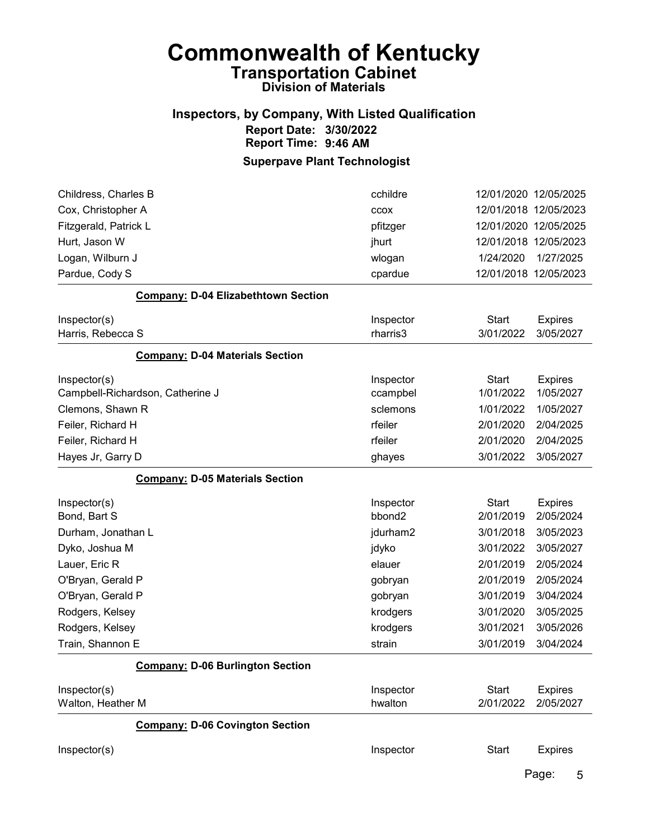# Inspectors, by Company, With Listed Qualification Report Date: 3/30/2022 Report Time: 9:46 AM

| Childress, Charles B                       | cchildre  | 12/01/2020 12/05/2025 |                |
|--------------------------------------------|-----------|-----------------------|----------------|
| Cox, Christopher A                         | CCOX      | 12/01/2018 12/05/2023 |                |
| Fitzgerald, Patrick L                      | pfitzger  | 12/01/2020 12/05/2025 |                |
| Hurt, Jason W                              | jhurt     | 12/01/2018 12/05/2023 |                |
| Logan, Wilburn J                           | wlogan    | 1/24/2020             | 1/27/2025      |
| Pardue, Cody S                             | cpardue   | 12/01/2018 12/05/2023 |                |
| <b>Company: D-04 Elizabethtown Section</b> |           |                       |                |
| Inspector(s)                               | Inspector | <b>Start</b>          | <b>Expires</b> |
| Harris, Rebecca S                          | rharris3  | 3/01/2022             | 3/05/2027      |
| <b>Company: D-04 Materials Section</b>     |           |                       |                |
| Inspector(s)                               | Inspector | <b>Start</b>          | <b>Expires</b> |
| Campbell-Richardson, Catherine J           | ccampbel  | 1/01/2022             | 1/05/2027      |
| Clemons, Shawn R                           | sclemons  | 1/01/2022             | 1/05/2027      |
| Feiler, Richard H                          | rfeiler   | 2/01/2020             | 2/04/2025      |
| Feiler, Richard H                          | rfeiler   | 2/01/2020             | 2/04/2025      |
| Hayes Jr, Garry D                          | ghayes    | 3/01/2022             | 3/05/2027      |
| <b>Company: D-05 Materials Section</b>     |           |                       |                |
| Inspector(s)                               | Inspector | <b>Start</b>          | <b>Expires</b> |
| Bond, Bart S                               | bbond2    | 2/01/2019             | 2/05/2024      |
| Durham, Jonathan L                         | jdurham2  | 3/01/2018             | 3/05/2023      |
| Dyko, Joshua M                             | jdyko     | 3/01/2022             | 3/05/2027      |
| Lauer, Eric R                              | elauer    | 2/01/2019             | 2/05/2024      |
| O'Bryan, Gerald P                          | gobryan   | 2/01/2019             | 2/05/2024      |
| O'Bryan, Gerald P                          | gobryan   | 3/01/2019             | 3/04/2024      |
| Rodgers, Kelsey                            | krodgers  | 3/01/2020             | 3/05/2025      |
| Rodgers, Kelsey                            | krodgers  | 3/01/2021             | 3/05/2026      |
| Train, Shannon E                           | strain    | 3/01/2019             | 3/04/2024      |
| <b>Company: D-06 Burlington Section</b>    |           |                       |                |
| Inspector(s)                               | Inspector | <b>Start</b>          | <b>Expires</b> |
| Walton, Heather M                          | hwalton   | 2/01/2022             | 2/05/2027      |
| <b>Company: D-06 Covington Section</b>     |           |                       |                |
| Inspector(s)                               | Inspector | Start                 | <b>Expires</b> |
|                                            |           |                       | Page:<br>5     |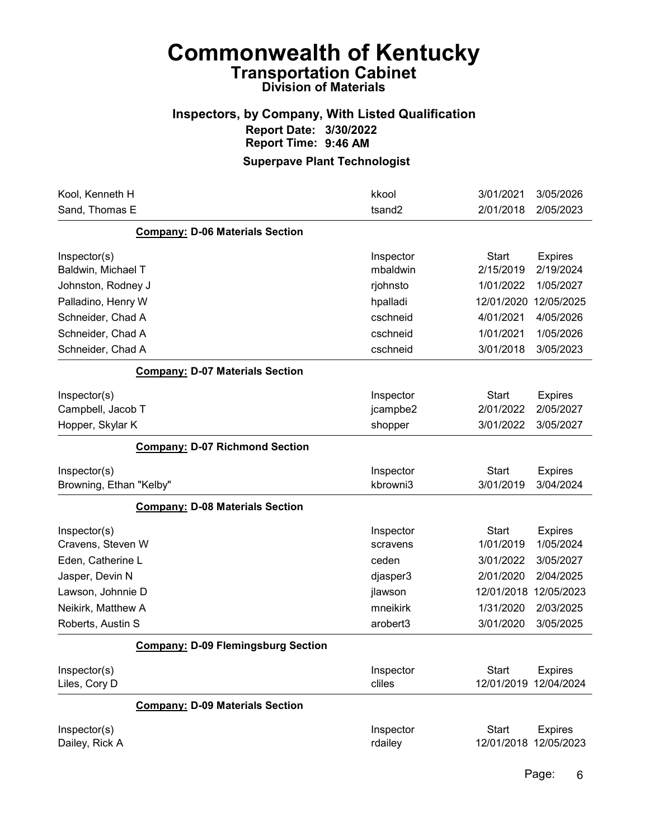## Inspectors, by Company, With Listed Qualification Report Date: 3/30/2022 Report Time: 9:46 AM

| Kool, Kenneth H                           | kkool                | 3/01/2021                  | 3/05/2026                    |
|-------------------------------------------|----------------------|----------------------------|------------------------------|
| Sand, Thomas E                            | tsand <sub>2</sub>   | 2/01/2018                  | 2/05/2023                    |
| <b>Company: D-06 Materials Section</b>    |                      |                            |                              |
| Inspector(s)                              | Inspector            | <b>Start</b>               | <b>Expires</b>               |
| Baldwin, Michael T                        | mbaldwin             | 2/15/2019                  | 2/19/2024                    |
| Johnston, Rodney J                        | rjohnsto             | 1/01/2022                  | 1/05/2027                    |
| Palladino, Henry W                        | hpalladi             | 12/01/2020                 | 12/05/2025                   |
| Schneider, Chad A                         | cschneid             | 4/01/2021                  | 4/05/2026                    |
| Schneider, Chad A                         | cschneid             | 1/01/2021                  | 1/05/2026                    |
| Schneider, Chad A                         | cschneid             | 3/01/2018                  | 3/05/2023                    |
| <b>Company: D-07 Materials Section</b>    |                      |                            |                              |
| Inspector(s)                              | Inspector            | <b>Start</b>               | <b>Expires</b>               |
| Campbell, Jacob T                         | jcampbe2             | 2/01/2022                  | 2/05/2027                    |
| Hopper, Skylar K                          | shopper              | 3/01/2022                  | 3/05/2027                    |
| <b>Company: D-07 Richmond Section</b>     |                      |                            |                              |
| Inspector(s)                              | Inspector            | <b>Start</b>               | <b>Expires</b>               |
| Browning, Ethan "Kelby"                   | kbrowni3             | 3/01/2019                  | 3/04/2024                    |
| <b>Company: D-08 Materials Section</b>    |                      |                            |                              |
| Inspector(s)                              | Inspector            | <b>Start</b>               | <b>Expires</b>               |
| Cravens, Steven W                         | scravens             | 1/01/2019                  | 1/05/2024                    |
| Eden, Catherine L                         | ceden                | 3/01/2022                  | 3/05/2027                    |
| Jasper, Devin N                           | djasper3             | 2/01/2020                  | 2/04/2025                    |
| Lawson, Johnnie D                         | jlawson              | 12/01/2018                 | 12/05/2023                   |
| Neikirk, Matthew A                        | mneikirk             | 1/31/2020                  | 2/03/2025                    |
| Roberts, Austin S                         | arobert3             | 3/01/2020                  | 3/05/2025                    |
| <b>Company: D-09 Flemingsburg Section</b> |                      |                            |                              |
| Inspector(s)                              | Inspector            | <b>Start</b>               | <b>Expires</b>               |
| Liles, Cory D                             | cliles               | 12/01/2019                 | 12/04/2024                   |
| <b>Company: D-09 Materials Section</b>    |                      |                            |                              |
| Inspector(s)<br>Dailey, Rick A            | Inspector<br>rdailey | <b>Start</b><br>12/01/2018 | <b>Expires</b><br>12/05/2023 |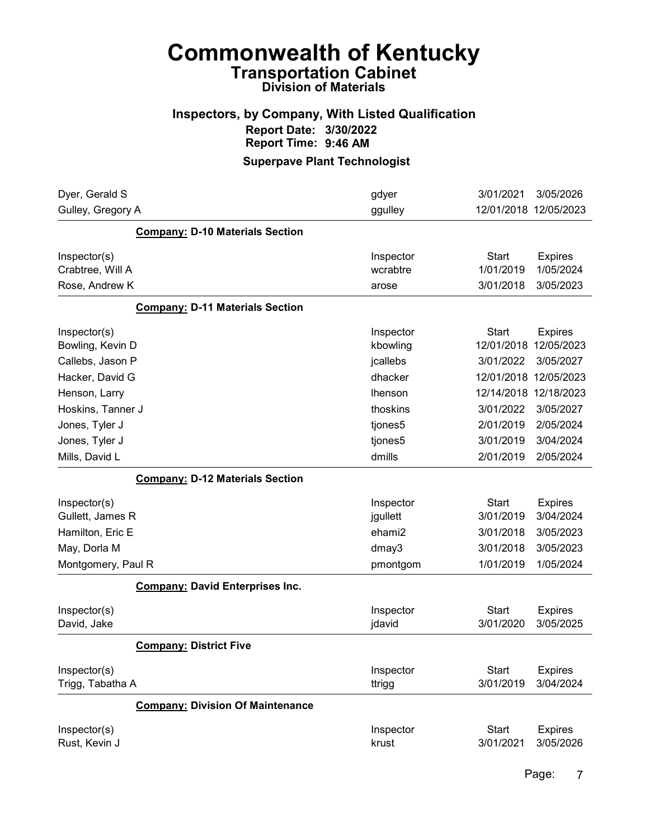## Inspectors, by Company, With Listed Qualification Report Date: 3/30/2022 Report Time: 9:46 AM

| Dyer, Gerald S                   |                                         | gdyer               | 3/01/2021                 | 3/05/2026                   |
|----------------------------------|-----------------------------------------|---------------------|---------------------------|-----------------------------|
| Gulley, Gregory A                |                                         | ggulley             |                           | 12/01/2018 12/05/2023       |
|                                  | <b>Company: D-10 Materials Section</b>  |                     |                           |                             |
| Inspector(s)                     |                                         | Inspector           | <b>Start</b>              | <b>Expires</b>              |
| Crabtree, Will A                 |                                         | wcrabtre            | 1/01/2019                 | 1/05/2024                   |
| Rose, Andrew K                   |                                         | arose               | 3/01/2018                 | 3/05/2023                   |
|                                  | <b>Company: D-11 Materials Section</b>  |                     |                           |                             |
| Inspector(s)                     |                                         | Inspector           | Start                     | <b>Expires</b>              |
| Bowling, Kevin D                 |                                         | kbowling            | 12/01/2018                | 12/05/2023                  |
| Callebs, Jason P                 |                                         | jcallebs            | 3/01/2022                 | 3/05/2027                   |
| Hacker, David G                  |                                         | dhacker             |                           | 12/01/2018 12/05/2023       |
| Henson, Larry                    |                                         | lhenson             |                           | 12/14/2018 12/18/2023       |
| Hoskins, Tanner J                |                                         | thoskins            | 3/01/2022                 | 3/05/2027                   |
| Jones, Tyler J                   |                                         | tjones5             | 2/01/2019                 | 2/05/2024                   |
| Jones, Tyler J                   |                                         | tjones5             | 3/01/2019                 | 3/04/2024                   |
| Mills, David L                   |                                         | dmills              | 2/01/2019                 | 2/05/2024                   |
|                                  | <b>Company: D-12 Materials Section</b>  |                     |                           |                             |
| Inspector(s)                     |                                         | Inspector           | <b>Start</b>              | <b>Expires</b>              |
| Gullett, James R                 |                                         | jgullett            | 3/01/2019                 | 3/04/2024                   |
| Hamilton, Eric E                 |                                         | ehami2              | 3/01/2018                 | 3/05/2023                   |
| May, Dorla M                     |                                         | dmay3               | 3/01/2018                 | 3/05/2023                   |
| Montgomery, Paul R               |                                         | pmontgom            | 1/01/2019                 | 1/05/2024                   |
|                                  | <b>Company: David Enterprises Inc.</b>  |                     |                           |                             |
| Inspector(s)<br>David, Jake      |                                         | Inspector<br>jdavid | <b>Start</b><br>3/01/2020 | <b>Expires</b><br>3/05/2025 |
|                                  | <b>Company: District Five</b>           |                     |                           |                             |
| Inspector(s)<br>Trigg, Tabatha A |                                         | Inspector<br>ttrigg | <b>Start</b><br>3/01/2019 | <b>Expires</b><br>3/04/2024 |
|                                  | <b>Company: Division Of Maintenance</b> |                     |                           |                             |
| Inspector(s)<br>Rust, Kevin J    |                                         | Inspector<br>krust  | <b>Start</b><br>3/01/2021 | <b>Expires</b><br>3/05/2026 |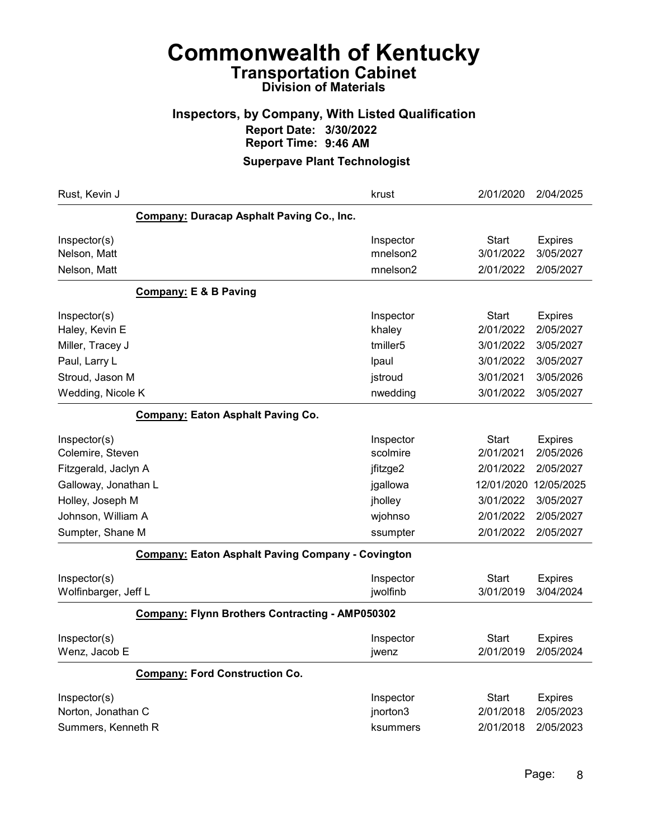## Inspectors, by Company, With Listed Qualification Report Date: 3/30/2022 Report Time: 9:46 AM

| Rust, Kevin J                                     | krust                                     | 2/01/2020    | 2/04/2025      |  |  |  |
|---------------------------------------------------|-------------------------------------------|--------------|----------------|--|--|--|
|                                                   | Company: Duracap Asphalt Paving Co., Inc. |              |                |  |  |  |
| Inspector(s)                                      | Inspector                                 | Start        | <b>Expires</b> |  |  |  |
| Nelson, Matt                                      | mnelson2                                  | 3/01/2022    | 3/05/2027      |  |  |  |
| Nelson, Matt                                      | mnelson2                                  | 2/01/2022    | 2/05/2027      |  |  |  |
| <b>Company: E &amp; B Paving</b>                  |                                           |              |                |  |  |  |
| Inspector(s)                                      | Inspector                                 | <b>Start</b> | <b>Expires</b> |  |  |  |
| Haley, Kevin E                                    | khaley                                    | 2/01/2022    | 2/05/2027      |  |  |  |
| Miller, Tracey J                                  | tmiller <sub>5</sub>                      | 3/01/2022    | 3/05/2027      |  |  |  |
| Paul, Larry L                                     | Ipaul                                     | 3/01/2022    | 3/05/2027      |  |  |  |
| Stroud, Jason M                                   | jstroud                                   | 3/01/2021    | 3/05/2026      |  |  |  |
| Wedding, Nicole K                                 | nwedding                                  | 3/01/2022    | 3/05/2027      |  |  |  |
| <b>Company: Eaton Asphalt Paving Co.</b>          |                                           |              |                |  |  |  |
| Inspector(s)                                      | Inspector                                 | Start        | <b>Expires</b> |  |  |  |
| Colemire, Steven                                  | scolmire                                  | 2/01/2021    | 2/05/2026      |  |  |  |
| Fitzgerald, Jaclyn A                              | jfitzge2                                  | 2/01/2022    | 2/05/2027      |  |  |  |
| Galloway, Jonathan L                              | jgallowa                                  | 12/01/2020   | 12/05/2025     |  |  |  |
| Holley, Joseph M                                  | jholley                                   | 3/01/2022    | 3/05/2027      |  |  |  |
| Johnson, William A                                | wjohnso                                   | 2/01/2022    | 2/05/2027      |  |  |  |
| Sumpter, Shane M                                  | ssumpter                                  | 2/01/2022    | 2/05/2027      |  |  |  |
| Company: Eaton Asphalt Paving Company - Covington |                                           |              |                |  |  |  |
| Inspector(s)                                      | Inspector                                 | Start        | <b>Expires</b> |  |  |  |
| Wolfinbarger, Jeff L                              | jwolfinb                                  | 3/01/2019    | 3/04/2024      |  |  |  |
| Company: Flynn Brothers Contracting - AMP050302   |                                           |              |                |  |  |  |
| Inspector(s)                                      | Inspector                                 | <b>Start</b> | <b>Expires</b> |  |  |  |
| Wenz, Jacob E                                     | jwenz                                     | 2/01/2019    | 2/05/2024      |  |  |  |
| <b>Company: Ford Construction Co.</b>             |                                           |              |                |  |  |  |
| Inspector(s)                                      | Inspector                                 | Start        | <b>Expires</b> |  |  |  |
| Norton, Jonathan C                                | jnorton3                                  | 2/01/2018    | 2/05/2023      |  |  |  |
| Summers, Kenneth R                                | ksummers                                  | 2/01/2018    | 2/05/2023      |  |  |  |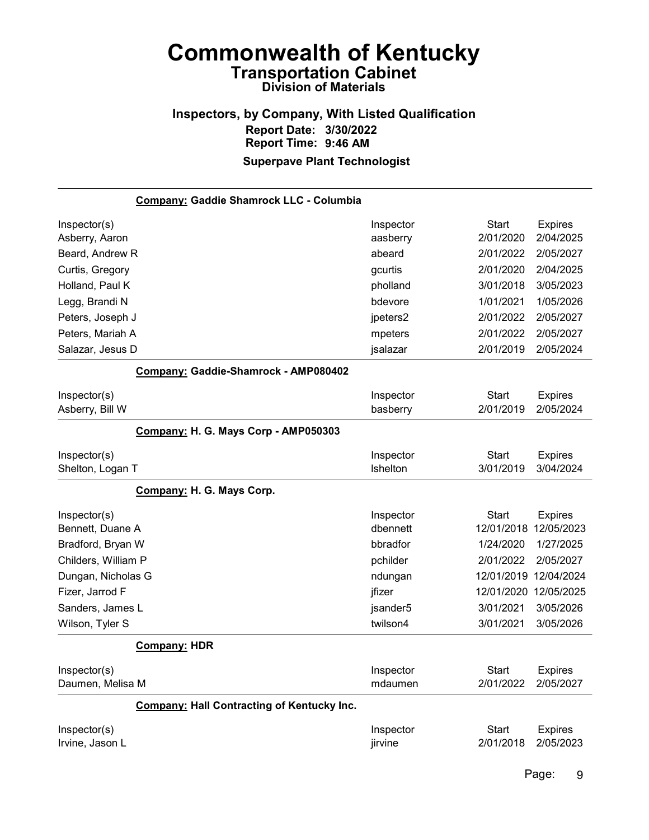### Inspectors, by Company, With Listed Qualification Report Date: 3/30/2022 Report Time: 9:46 AM Superpave Plant Technologist

| Company: Gaddie Shamrock LLC - Columbia           |           |              |                |
|---------------------------------------------------|-----------|--------------|----------------|
| Inspector(s)                                      | Inspector | <b>Start</b> | <b>Expires</b> |
| Asberry, Aaron                                    | aasberry  | 2/01/2020    | 2/04/2025      |
| Beard, Andrew R                                   | abeard    | 2/01/2022    | 2/05/2027      |
| Curtis, Gregory                                   | gcurtis   | 2/01/2020    | 2/04/2025      |
| Holland, Paul K                                   | pholland  | 3/01/2018    | 3/05/2023      |
| Legg, Brandi N                                    | bdevore   | 1/01/2021    | 1/05/2026      |
| Peters, Joseph J                                  | jpeters2  | 2/01/2022    | 2/05/2027      |
| Peters, Mariah A                                  | mpeters   | 2/01/2022    | 2/05/2027      |
| Salazar, Jesus D                                  | jsalazar  | 2/01/2019    | 2/05/2024      |
| Company: Gaddie-Shamrock - AMP080402              |           |              |                |
| Inspector(s)                                      | Inspector | <b>Start</b> | <b>Expires</b> |
| Asberry, Bill W                                   | basberry  | 2/01/2019    | 2/05/2024      |
| Company: H. G. Mays Corp - AMP050303              |           |              |                |
| Inspector(s)                                      | Inspector | <b>Start</b> | <b>Expires</b> |
| Shelton, Logan T                                  | Ishelton  | 3/01/2019    | 3/04/2024      |
| Company: H. G. Mays Corp.                         |           |              |                |
| Inspector(s)                                      | Inspector | <b>Start</b> | <b>Expires</b> |
| Bennett, Duane A                                  | dbennett  | 12/01/2018   | 12/05/2023     |
| Bradford, Bryan W                                 | bbradfor  | 1/24/2020    | 1/27/2025      |
| Childers, William P                               | pchilder  | 2/01/2022    | 2/05/2027      |
| Dungan, Nicholas G                                | ndungan   | 12/01/2019   | 12/04/2024     |
| Fizer, Jarrod F                                   | jfizer    | 12/01/2020   | 12/05/2025     |
| Sanders, James L                                  | jsander5  | 3/01/2021    | 3/05/2026      |
| Wilson, Tyler S                                   | twilson4  | 3/01/2021    | 3/05/2026      |
| <b>Company: HDR</b>                               |           |              |                |
| Inspector(s)                                      | Inspector | <b>Start</b> | <b>Expires</b> |
| Daumen, Melisa M                                  | mdaumen   | 2/01/2022    | 2/05/2027      |
| <b>Company: Hall Contracting of Kentucky Inc.</b> |           |              |                |
| Inspector(s)                                      | Inspector | <b>Start</b> | <b>Expires</b> |
| Irvine, Jason L                                   | jirvine   | 2/01/2018    | 2/05/2023      |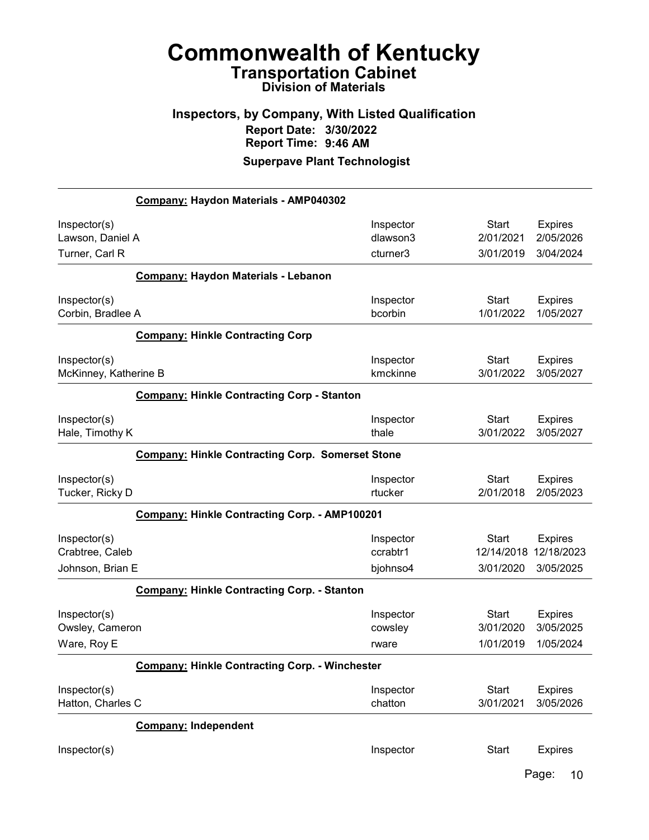# Inspectors, by Company, With Listed Qualification Report Date: 3/30/2022 Report Time: 9:46 AM

Superpave Plant Technologist

|                       | Company: Haydon Materials - AMP040302                   |           |              |                |
|-----------------------|---------------------------------------------------------|-----------|--------------|----------------|
| Inspector(s)          |                                                         | Inspector | Start        | <b>Expires</b> |
| Lawson, Daniel A      |                                                         | dlawson3  | 2/01/2021    | 2/05/2026      |
| Turner, Carl R        |                                                         | cturner3  | 3/01/2019    | 3/04/2024      |
|                       | Company: Haydon Materials - Lebanon                     |           |              |                |
| Inspector(s)          |                                                         | Inspector | Start        | <b>Expires</b> |
| Corbin, Bradlee A     |                                                         | bcorbin   | 1/01/2022    | 1/05/2027      |
|                       | <b>Company: Hinkle Contracting Corp</b>                 |           |              |                |
| Inspector(s)          |                                                         | Inspector | <b>Start</b> | <b>Expires</b> |
| McKinney, Katherine B |                                                         | kmckinne  | 3/01/2022    | 3/05/2027      |
|                       | <b>Company: Hinkle Contracting Corp - Stanton</b>       |           |              |                |
| Inspector(s)          |                                                         | Inspector | <b>Start</b> | <b>Expires</b> |
| Hale, Timothy K       |                                                         | thale     | 3/01/2022    | 3/05/2027      |
|                       | <b>Company: Hinkle Contracting Corp. Somerset Stone</b> |           |              |                |
| Inspector(s)          |                                                         | Inspector | <b>Start</b> | <b>Expires</b> |
| Tucker, Ricky D       |                                                         | rtucker   | 2/01/2018    | 2/05/2023      |
|                       | Company: Hinkle Contracting Corp. - AMP100201           |           |              |                |
| Inspector(s)          |                                                         | Inspector | <b>Start</b> | <b>Expires</b> |
| Crabtree, Caleb       |                                                         | ccrabtr1  | 12/14/2018   | 12/18/2023     |
| Johnson, Brian E      |                                                         | bjohnso4  | 3/01/2020    | 3/05/2025      |
|                       | <b>Company: Hinkle Contracting Corp. - Stanton</b>      |           |              |                |
| Inspector(s)          |                                                         | Inspector | <b>Start</b> | <b>Expires</b> |
| Owsley, Cameron       |                                                         | cowsley   | 3/01/2020    | 3/05/2025      |
| Ware, Roy E           |                                                         | rware     | 1/01/2019    | 1/05/2024      |
|                       | <b>Company: Hinkle Contracting Corp. - Winchester</b>   |           |              |                |
| Inspector(s)          |                                                         | Inspector | <b>Start</b> | <b>Expires</b> |
| Hatton, Charles C     |                                                         | chatton   | 3/01/2021    | 3/05/2026      |
|                       | <b>Company: Independent</b>                             |           |              |                |
| Inspector(s)          |                                                         | Inspector | <b>Start</b> | <b>Expires</b> |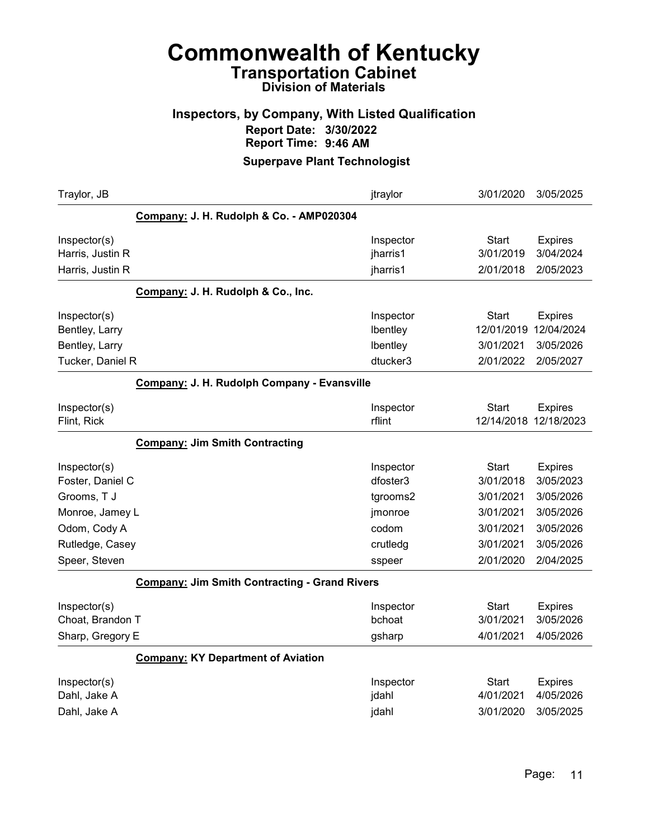## Inspectors, by Company, With Listed Qualification Report Date: 3/30/2022 Report Time: 9:46 AM

| Traylor, JB                                                          |                                                      | jtraylor                                      | 3/01/2020                                            | 3/05/2025                                              |
|----------------------------------------------------------------------|------------------------------------------------------|-----------------------------------------------|------------------------------------------------------|--------------------------------------------------------|
|                                                                      | Company: J. H. Rudolph & Co. - AMP020304             |                                               |                                                      |                                                        |
| Inspector(s)<br>Harris, Justin R<br>Harris, Justin R                 |                                                      | Inspector<br>jharris1<br>jharris1             | <b>Start</b><br>3/01/2019<br>2/01/2018               | <b>Expires</b><br>3/04/2024<br>2/05/2023               |
|                                                                      | Company: J. H. Rudolph & Co., Inc.                   |                                               |                                                      |                                                        |
| Inspector(s)<br>Bentley, Larry<br>Bentley, Larry<br>Tucker, Daniel R |                                                      | Inspector<br>Ibentley<br>Ibentley<br>dtucker3 | <b>Start</b><br>12/01/2019<br>3/01/2021<br>2/01/2022 | <b>Expires</b><br>12/04/2024<br>3/05/2026<br>2/05/2027 |
|                                                                      | Company: J. H. Rudolph Company - Evansville          |                                               |                                                      |                                                        |
| Inspector(s)<br>Flint, Rick                                          |                                                      | Inspector<br>rflint                           | <b>Start</b><br>12/14/2018                           | <b>Expires</b><br>12/18/2023                           |
|                                                                      | <b>Company: Jim Smith Contracting</b>                |                                               |                                                      |                                                        |
| Inspector(s)<br>Foster, Daniel C<br>Grooms, T J<br>Monroe, Jamey L   |                                                      | Inspector<br>dfoster3<br>tgrooms2<br>jmonroe  | <b>Start</b><br>3/01/2018<br>3/01/2021<br>3/01/2021  | <b>Expires</b><br>3/05/2023<br>3/05/2026<br>3/05/2026  |
| Odom, Cody A                                                         |                                                      | codom                                         | 3/01/2021                                            | 3/05/2026                                              |
| Rutledge, Casey<br>Speer, Steven                                     |                                                      | crutledg<br>sspeer                            | 3/01/2021<br>2/01/2020                               | 3/05/2026<br>2/04/2025                                 |
|                                                                      | <b>Company: Jim Smith Contracting - Grand Rivers</b> |                                               |                                                      |                                                        |
| Inspector(s)<br>Choat, Brandon T<br>Sharp, Gregory E                 |                                                      | Inspector<br>bchoat<br>gsharp                 | Start<br>3/01/2021<br>4/01/2021                      | <b>Expires</b><br>3/05/2026<br>4/05/2026               |
|                                                                      | <b>Company: KY Department of Aviation</b>            |                                               |                                                      |                                                        |
| Inspector(s)<br>Dahl, Jake A<br>Dahl, Jake A                         |                                                      | Inspector<br>jdahl<br>jdahl                   | <b>Start</b><br>4/01/2021<br>3/01/2020               | <b>Expires</b><br>4/05/2026<br>3/05/2025               |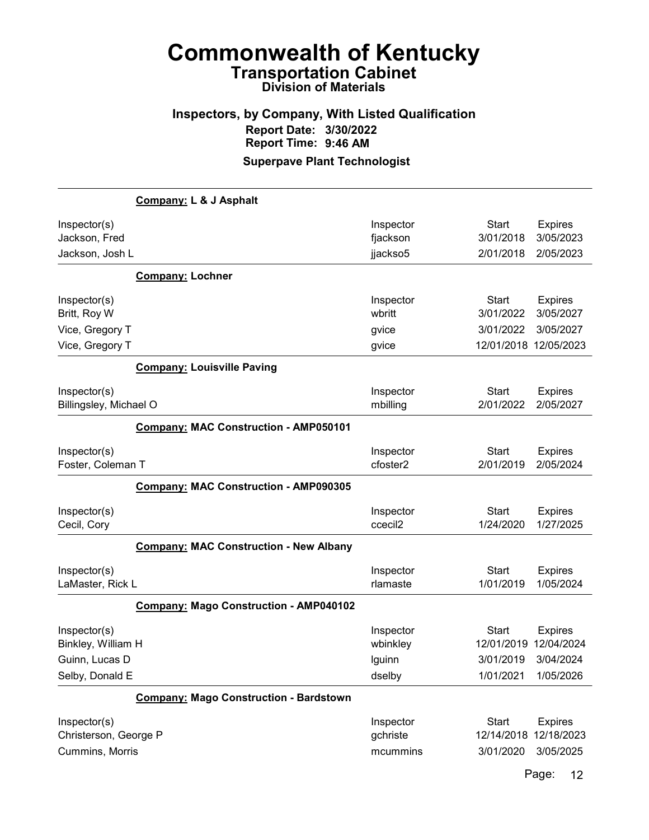#### Inspectors, by Company, With Listed Qualification Report Date: 3/30/2022 Report Time: 9:46 AM Superpave Plant Technologist

Company: L & J Asphalt Inspector(s) **Inspector** Start Expires Jackson, Fred fjackson 3/01/2018 3/05/2023 Jackson, Josh L jjackso5 2/01/2018 2/05/2023 Company: Lochner Inspector(s) **Inspector** Start Expires Britt, Roy W wbritt 3/01/2022 3/05/2027 Vice, Gregory T gvice 3/01/2022 3/05/2027 Vice, Gregory T **giving the UVICE 12/01/2018 12/05/2023** gvice 12/01/2018 12/05/2023 Company: Louisville Paving Inspector(s) **Inspector** Start Expires Billingsley, Michael O mbilling 2/01/2022 2/05/2027 Company: MAC Construction - AMP050101 Inspector(s) **Inspector** Start Expires Foster, Coleman T cfoster2 2/01/2019 2/05/2024 Company: MAC Construction - AMP090305 Inspector(s) **Inspector** Start Expires Cecil, Cory ccecil2 1/24/2020 1/27/2025 Company: MAC Construction - New Albany Inspector(s) **Inspector** Start Expires LaMaster, Rick L rlamaste 1/01/2019 1/05/2024 Company: Mago Construction - AMP040102 Inspector(s) **Inspector** Start Expires Binkley, William H wbinkley 12/01/2019 12/04/2024 Guinn, Lucas D lguinn 3/01/2019 3/04/2024 Selby, Donald E dselby 1/01/2021 1/05/2026 Company: Mago Construction - Bardstown Inspector(s) **Inspector** Start Expires Christerson, George P gchriste 12/14/2018 12/18/2023 Cummins, Morris mcummins 3/01/2020 3/05/2025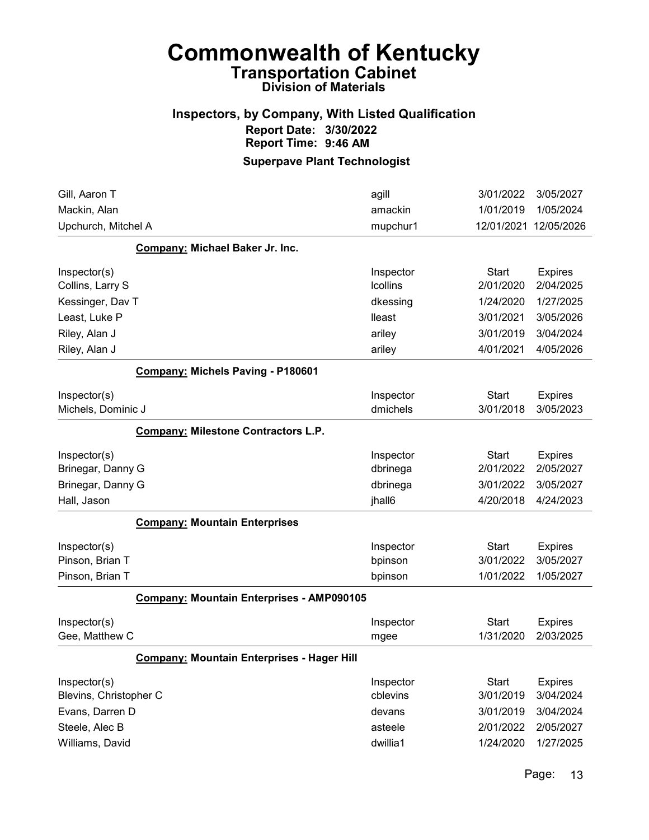## Inspectors, by Company, With Listed Qualification Report Date: 3/30/2022 Report Time: 9:46 AM

| Gill, Aaron T                                     | agill           | 3/01/2022    | 3/05/2027      |
|---------------------------------------------------|-----------------|--------------|----------------|
| Mackin, Alan                                      | amackin         | 1/01/2019    | 1/05/2024      |
| Upchurch, Mitchel A                               | mupchur1        | 12/01/2021   | 12/05/2026     |
| Company: Michael Baker Jr. Inc.                   |                 |              |                |
| Inspector(s)                                      | Inspector       | <b>Start</b> | <b>Expires</b> |
| Collins, Larry S                                  | <b>Icollins</b> | 2/01/2020    | 2/04/2025      |
| Kessinger, Dav T                                  | dkessing        | 1/24/2020    | 1/27/2025      |
| Least, Luke P                                     | lleast          | 3/01/2021    | 3/05/2026      |
| Riley, Alan J                                     | ariley          | 3/01/2019    | 3/04/2024      |
| Riley, Alan J                                     | ariley          | 4/01/2021    | 4/05/2026      |
| Company: Michels Paving - P180601                 |                 |              |                |
| Inspector(s)                                      | Inspector       | <b>Start</b> | <b>Expires</b> |
| Michels, Dominic J                                | dmichels        | 3/01/2018    | 3/05/2023      |
| <b>Company: Milestone Contractors L.P.</b>        |                 |              |                |
| Inspector(s)                                      | Inspector       | <b>Start</b> | <b>Expires</b> |
| Brinegar, Danny G                                 | dbrinega        | 2/01/2022    | 2/05/2027      |
| Brinegar, Danny G                                 | dbrinega        | 3/01/2022    | 3/05/2027      |
| Hall, Jason                                       | jhall6          | 4/20/2018    | 4/24/2023      |
| <b>Company: Mountain Enterprises</b>              |                 |              |                |
| Inspector(s)                                      | Inspector       | <b>Start</b> | <b>Expires</b> |
| Pinson, Brian T                                   | bpinson         | 3/01/2022    | 3/05/2027      |
| Pinson, Brian T                                   | bpinson         | 1/01/2022    | 1/05/2027      |
| <b>Company: Mountain Enterprises - AMP090105</b>  |                 |              |                |
| Inspector(s)                                      | Inspector       | <b>Start</b> | <b>Expires</b> |
| Gee, Matthew C                                    | mgee            | 1/31/2020    | 2/03/2025      |
| <b>Company: Mountain Enterprises - Hager Hill</b> |                 |              |                |
| Inspector(s)                                      | Inspector       | <b>Start</b> | <b>Expires</b> |
| Blevins, Christopher C                            | cblevins        | 3/01/2019    | 3/04/2024      |
| Evans, Darren D                                   | devans          | 3/01/2019    | 3/04/2024      |
| Steele, Alec B                                    | asteele         | 2/01/2022    | 2/05/2027      |
| Williams, David                                   | dwillia1        | 1/24/2020    | 1/27/2025      |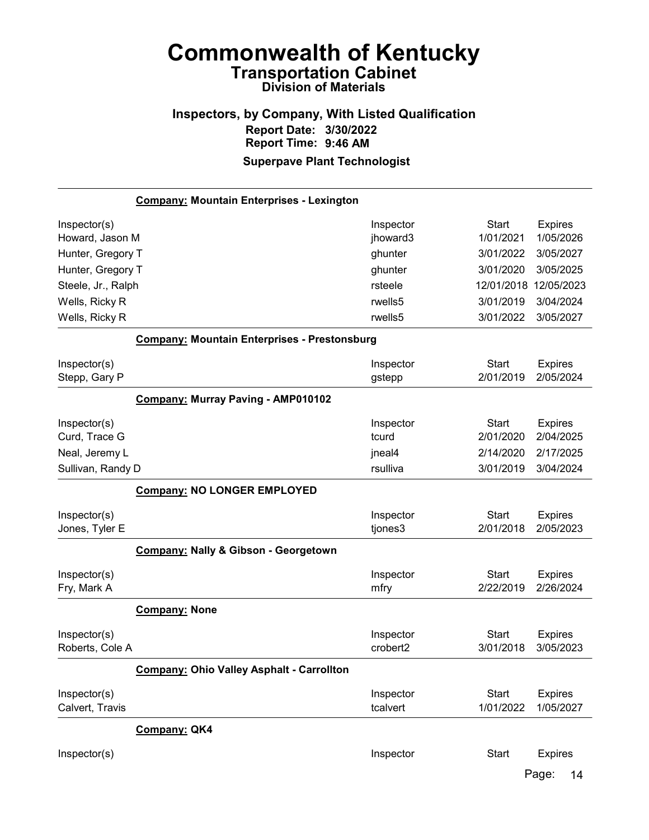#### Inspectors, by Company, With Listed Qualification Report Date: 3/30/2022 Report Time: 9:46 AM Superpave Plant Technologist

Company: Mountain Enterprises - Lexington Inspector(s) **Inspector** Start Expires Howard, Jason M jhoward3 1/01/2021 1/05/2026 Hunter, Gregory T ghunter 3/01/2022 3/05/2027 Hunter, Gregory T ghunter 3/01/2020 3/05/2025 Steele, Jr., Ralph 12/05/2023 (12/01/2018 12/05/2023 12/01/2018 12/05/2023 Wells, Ricky R rwells5 3/01/2019 3/04/2024 Wells, Ricky R rwells5 3/01/2022 3/05/2027 Company: Mountain Enterprises - Prestonsburg Inspector(s) **Inspector** Start Expires Stepp, Gary P gstepp 2/01/2019 2/05/2024 Company: Murray Paving - AMP010102 Inspector(s) **Inspector** Start Expires Curd, Trace G tcurd 2/01/2020 2/04/2025 Neal, Jeremy L **ineal4** 2/14/2020 2/17/2025 Sullivan, Randy D rsulliva 3/01/2019 3/04/2024 Company: NO LONGER EMPLOYED Inspector(s) **Inspector** Start Expires Jones, Tyler E tjones3 2/01/2018 2/05/2023 Company: Nally & Gibson - Georgetown Inspector(s) **Inspector** Start Expires Fry, Mark A mfry 2/22/2019 2/26/2024 Company: None Inspector(s) **Inspector** Start Expires Roberts, Cole A crobert2 3/01/2018 3/05/2023 Company: Ohio Valley Asphalt - Carrollton Inspector(s) **Inspector** Start Expires Calvert, Travis tcalvert 1/01/2022 1/05/2027 Company: QK4 Inspector(s) **Inspector** Start Expires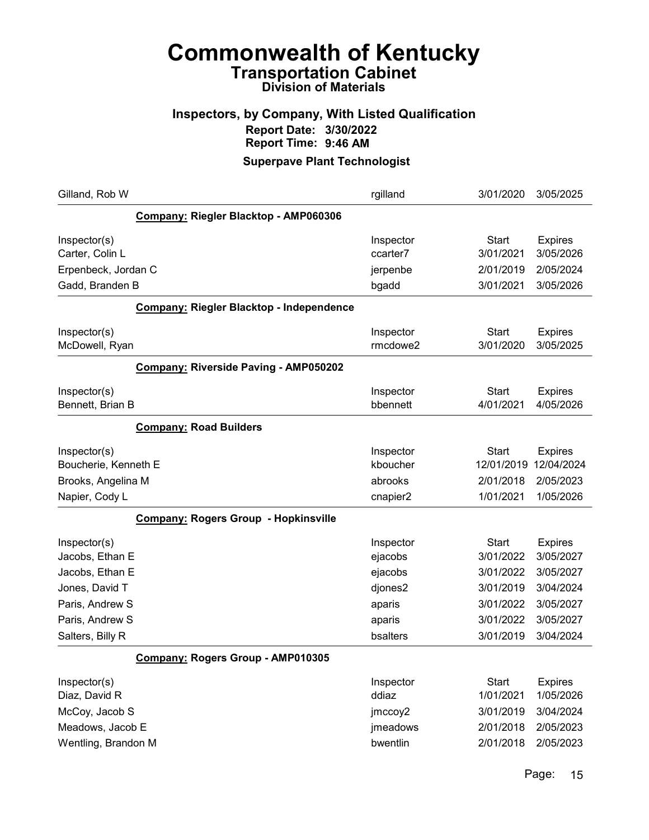## Inspectors, by Company, With Listed Qualification Report Date: 3/30/2022 Report Time: 9:46 AM

| Gilland, Rob W                                                                                                                 | rgilland                                                                   | 3/01/2020                                                                                  | 3/05/2025                                                                                    |
|--------------------------------------------------------------------------------------------------------------------------------|----------------------------------------------------------------------------|--------------------------------------------------------------------------------------------|----------------------------------------------------------------------------------------------|
| Company: Riegler Blacktop - AMP060306                                                                                          |                                                                            |                                                                                            |                                                                                              |
| Inspector(s)<br>Carter, Colin L<br>Erpenbeck, Jordan C<br>Gadd, Branden B                                                      | Inspector<br>ccarter7<br>jerpenbe<br>bgadd                                 | <b>Start</b><br>3/01/2021<br>2/01/2019<br>3/01/2021                                        | <b>Expires</b><br>3/05/2026<br>2/05/2024<br>3/05/2026                                        |
| Company: Riegler Blacktop - Independence                                                                                       |                                                                            |                                                                                            |                                                                                              |
| Inspector(s)<br>McDowell, Ryan                                                                                                 | Inspector<br>rmcdowe2                                                      | <b>Start</b><br>3/01/2020                                                                  | <b>Expires</b><br>3/05/2025                                                                  |
| <b>Company: Riverside Paving - AMP050202</b>                                                                                   |                                                                            |                                                                                            |                                                                                              |
| Inspector(s)<br>Bennett, Brian B                                                                                               | Inspector<br>bbennett                                                      | <b>Start</b><br>4/01/2021                                                                  | <b>Expires</b><br>4/05/2026                                                                  |
| <b>Company: Road Builders</b>                                                                                                  |                                                                            |                                                                                            |                                                                                              |
| Inspector(s)<br>Boucherie, Kenneth E<br>Brooks, Angelina M                                                                     | Inspector<br>kboucher<br>abrooks                                           | <b>Start</b><br>12/01/2019<br>2/01/2018                                                    | <b>Expires</b><br>12/04/2024<br>2/05/2023                                                    |
| Napier, Cody L                                                                                                                 | cnapier2                                                                   | 1/01/2021                                                                                  | 1/05/2026                                                                                    |
| <b>Company: Rogers Group - Hopkinsville</b>                                                                                    |                                                                            |                                                                                            |                                                                                              |
| Inspector(s)<br>Jacobs, Ethan E<br>Jacobs, Ethan E<br>Jones, David T<br>Paris, Andrew S<br>Paris, Andrew S<br>Salters, Billy R | Inspector<br>ejacobs<br>ejacobs<br>djones2<br>aparis<br>aparis<br>bsalters | <b>Start</b><br>3/01/2022<br>3/01/2022<br>3/01/2019<br>3/01/2022<br>3/01/2022<br>3/01/2019 | <b>Expires</b><br>3/05/2027<br>3/05/2027<br>3/04/2024<br>3/05/2027<br>3/05/2027<br>3/04/2024 |
| Company: Rogers Group - AMP010305                                                                                              |                                                                            |                                                                                            |                                                                                              |
| Inspector(s)<br>Diaz, David R<br>McCoy, Jacob S<br>Meadows, Jacob E<br>Wentling, Brandon M                                     | Inspector<br>ddiaz<br>jmccoy2<br>jmeadows<br>bwentlin                      | <b>Start</b><br>1/01/2021<br>3/01/2019<br>2/01/2018<br>2/01/2018                           | <b>Expires</b><br>1/05/2026<br>3/04/2024<br>2/05/2023<br>2/05/2023                           |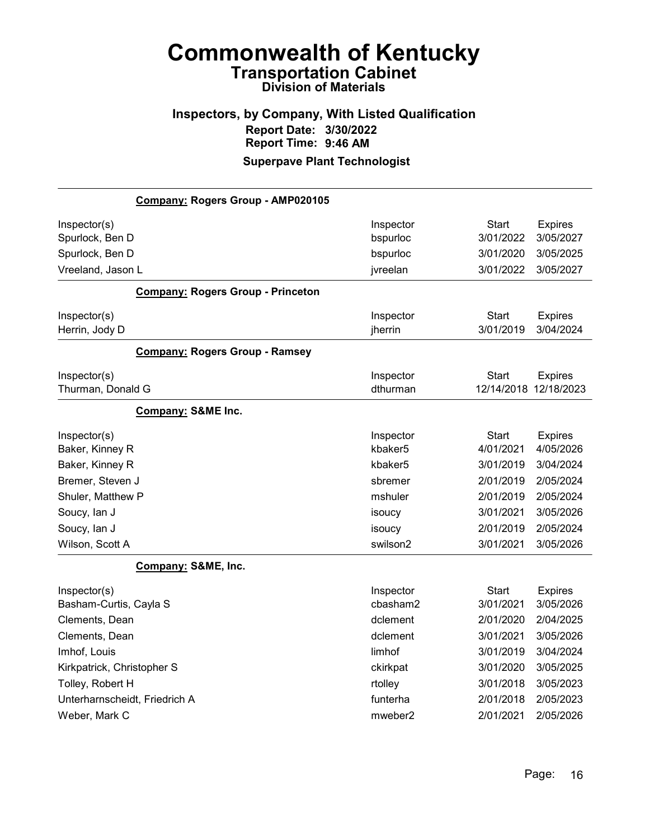### Inspectors, by Company, With Listed Qualification Report Date: 3/30/2022 Report Time: 9:46 AM Superpave Plant Technologist

| Company: Rogers Group - AMP020105        |                     |                       |                |
|------------------------------------------|---------------------|-----------------------|----------------|
| Inspector(s)                             | Inspector           | <b>Start</b>          | <b>Expires</b> |
| Spurlock, Ben D                          | bspurloc            | 3/01/2022             | 3/05/2027      |
| Spurlock, Ben D                          | bspurloc            | 3/01/2020             | 3/05/2025      |
| Vreeland, Jason L                        | jvreelan            | 3/01/2022             | 3/05/2027      |
| <b>Company: Rogers Group - Princeton</b> |                     |                       |                |
| Inspector(s)                             | Inspector           | Start                 | <b>Expires</b> |
| Herrin, Jody D                           | jherrin             | 3/01/2019             | 3/04/2024      |
| <b>Company: Rogers Group - Ramsey</b>    |                     |                       |                |
| Inspector(s)                             | Inspector           | Start                 | <b>Expires</b> |
| Thurman, Donald G                        | dthurman            | 12/14/2018 12/18/2023 |                |
| <b>Company: S&amp;ME Inc.</b>            |                     |                       |                |
| Inspector(s)                             | Inspector           | Start                 | <b>Expires</b> |
| Baker, Kinney R                          | kbaker5             | 4/01/2021             | 4/05/2026      |
| Baker, Kinney R                          | kbaker5             | 3/01/2019             | 3/04/2024      |
| Bremer, Steven J                         | sbremer             | 2/01/2019             | 2/05/2024      |
| Shuler, Matthew P                        | mshuler             | 2/01/2019             | 2/05/2024      |
| Soucy, lan J                             | isoucy              | 3/01/2021             | 3/05/2026      |
| Soucy, lan J                             | isoucy              | 2/01/2019             | 2/05/2024      |
| Wilson, Scott A                          | swilson2            | 3/01/2021             | 3/05/2026      |
| Company: S&ME, Inc.                      |                     |                       |                |
| Inspector(s)                             | Inspector           | Start                 | <b>Expires</b> |
| Basham-Curtis, Cayla S                   | cbasham2            | 3/01/2021             | 3/05/2026      |
| Clements, Dean                           | dclement            | 2/01/2020             | 2/04/2025      |
| Clements, Dean                           | dclement            | 3/01/2021             | 3/05/2026      |
| Imhof, Louis                             | limhof              | 3/01/2019             | 3/04/2024      |
| Kirkpatrick, Christopher S               | ckirkpat            | 3/01/2020             | 3/05/2025      |
| Tolley, Robert H                         | rtolley             | 3/01/2018             | 3/05/2023      |
| Unterharnscheidt, Friedrich A            | funterha            | 2/01/2018             | 2/05/2023      |
| Weber, Mark C                            | mweber <sub>2</sub> | 2/01/2021             | 2/05/2026      |
|                                          |                     |                       |                |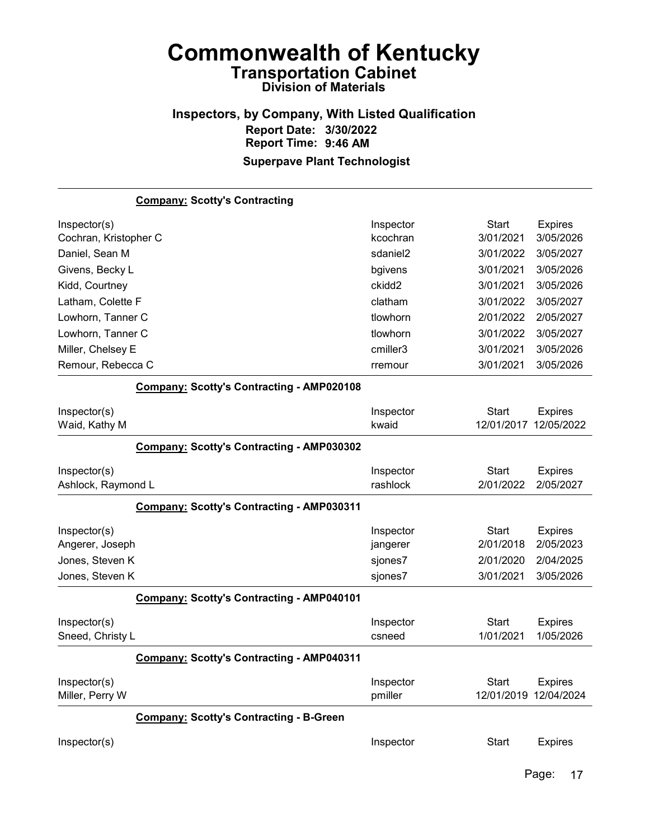### Inspectors, by Company, With Listed Qualification Report Date: 3/30/2022 Report Time: 9:46 AM Superpave Plant Technologist

|                                 | <b>Company: Scotty's Contracting</b>             |                      |                                       |                |
|---------------------------------|--------------------------------------------------|----------------------|---------------------------------------|----------------|
| Inspector(s)                    |                                                  | Inspector            | <b>Start</b>                          | <b>Expires</b> |
| Cochran, Kristopher C           |                                                  | kcochran             | 3/01/2021                             | 3/05/2026      |
| Daniel, Sean M                  |                                                  | sdaniel <sub>2</sub> | 3/01/2022                             | 3/05/2027      |
| Givens, Becky L                 |                                                  | bgivens              | 3/01/2021                             | 3/05/2026      |
| Kidd, Courtney                  |                                                  | ckidd <sub>2</sub>   | 3/01/2021                             | 3/05/2026      |
| Latham, Colette F               |                                                  | clatham              | 3/01/2022                             | 3/05/2027      |
| Lowhorn, Tanner C               |                                                  | tlowhorn             | 2/01/2022                             | 2/05/2027      |
| Lowhorn, Tanner C               |                                                  | tlowhorn             | 3/01/2022                             | 3/05/2027      |
| Miller, Chelsey E               |                                                  | cmiller3             | 3/01/2021                             | 3/05/2026      |
| Remour, Rebecca C               |                                                  | rremour              | 3/01/2021                             | 3/05/2026      |
|                                 | <b>Company: Scotty's Contracting - AMP020108</b> |                      |                                       |                |
| Inspector(s)                    |                                                  | Inspector            | <b>Start</b>                          | <b>Expires</b> |
| Waid, Kathy M                   |                                                  | kwaid                | 12/01/2017                            | 12/05/2022     |
|                                 | <b>Company: Scotty's Contracting - AMP030302</b> |                      |                                       |                |
| Inspector(s)                    |                                                  | Inspector            | <b>Start</b>                          | <b>Expires</b> |
| Ashlock, Raymond L              |                                                  | rashlock             | 2/01/2022                             | 2/05/2027      |
|                                 | Company: Scotty's Contracting - AMP030311        |                      |                                       |                |
| Inspector(s)                    |                                                  | Inspector            | <b>Start</b>                          | <b>Expires</b> |
| Angerer, Joseph                 |                                                  | jangerer             | 2/01/2018                             | 2/05/2023      |
| Jones, Steven K                 |                                                  | sjones7              | 2/01/2020                             | 2/04/2025      |
| Jones, Steven K                 |                                                  | sjones7              | 3/01/2021                             | 3/05/2026      |
|                                 | <b>Company: Scotty's Contracting - AMP040101</b> |                      |                                       |                |
| Inspector(s)                    |                                                  | Inspector            | <b>Start</b>                          | <b>Expires</b> |
| Sneed, Christy L                |                                                  | csneed               | 1/01/2021                             | 1/05/2026      |
|                                 | Company: Scotty's Contracting - AMP040311        |                      |                                       |                |
| Inspector(s)<br>Miller, Perry W |                                                  | Inspector<br>pmiller | <b>Start</b><br>12/01/2019 12/04/2024 | <b>Expires</b> |
|                                 | <b>Company: Scotty's Contracting - B-Green</b>   |                      |                                       |                |
| Inspector(s)                    |                                                  | Inspector            | <b>Start</b>                          | <b>Expires</b> |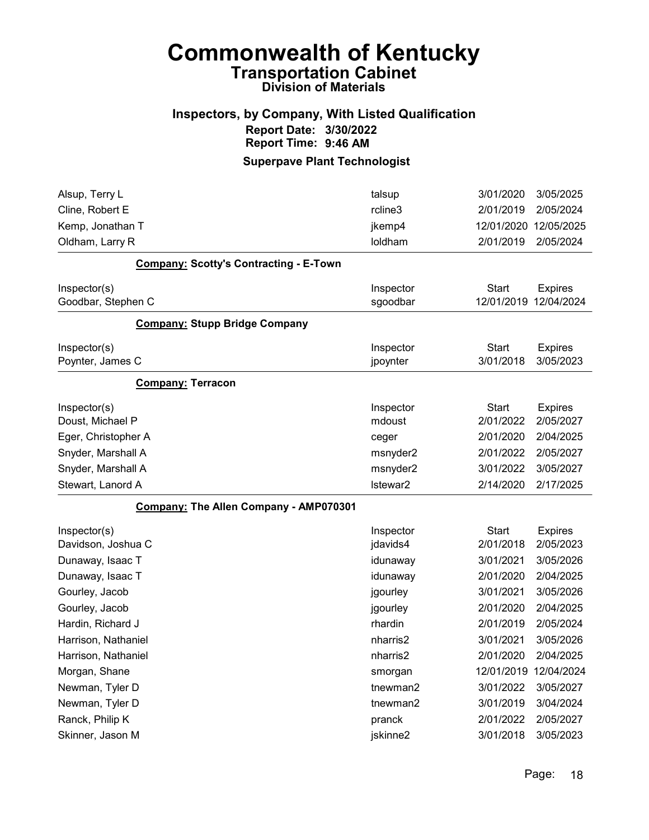# Commonwealth of Kentucky Transportation Cabinet

# Division of Materials

## Inspectors, by Company, With Listed Qualification Report Date: 3/30/2022 Report Time: 9:46 AM

| Alsup, Terry L                                | talsup                | 3/01/2020                  | 3/05/2025                    |
|-----------------------------------------------|-----------------------|----------------------------|------------------------------|
| Cline, Robert E                               | rcline3               | 2/01/2019                  | 2/05/2024                    |
| Kemp, Jonathan T                              | jkemp4                | 12/01/2020                 | 12/05/2025                   |
| Oldham, Larry R                               | loldham               | 2/01/2019                  | 2/05/2024                    |
| <b>Company: Scotty's Contracting - E-Town</b> |                       |                            |                              |
| Inspector(s)<br>Goodbar, Stephen C            | Inspector<br>sgoodbar | <b>Start</b><br>12/01/2019 | <b>Expires</b><br>12/04/2024 |
| <b>Company: Stupp Bridge Company</b>          |                       |                            |                              |
| Inspector(s)                                  | Inspector             | <b>Start</b>               | <b>Expires</b>               |
| Poynter, James C                              | jpoynter              | 3/01/2018                  | 3/05/2023                    |
| <b>Company: Terracon</b>                      |                       |                            |                              |
| Inspector(s)                                  | Inspector             | <b>Start</b>               | <b>Expires</b>               |
| Doust, Michael P                              | mdoust                | 2/01/2022                  | 2/05/2027                    |
| Eger, Christopher A                           | ceger                 | 2/01/2020                  | 2/04/2025                    |
| Snyder, Marshall A                            | msnyder2              | 2/01/2022                  | 2/05/2027                    |
| Snyder, Marshall A                            | msnyder2              | 3/01/2022                  | 3/05/2027                    |
| Stewart, Lanord A                             | Istewar2              | 2/14/2020                  | 2/17/2025                    |
| Company: The Allen Company - AMP070301        |                       |                            |                              |
| Inspector(s)                                  | Inspector             | <b>Start</b>               | <b>Expires</b>               |
| Davidson, Joshua C                            | jdavids4              | 2/01/2018                  | 2/05/2023                    |
| Dunaway, Isaac T                              | idunaway              | 3/01/2021                  | 3/05/2026                    |
| Dunaway, Isaac T                              | idunaway              | 2/01/2020                  | 2/04/2025                    |
| Gourley, Jacob                                | jgourley              | 3/01/2021                  | 3/05/2026                    |
| Gourley, Jacob                                | jgourley              | 2/01/2020                  | 2/04/2025                    |
| Hardin, Richard J                             | rhardin               | 2/01/2019                  | 2/05/2024                    |
| Harrison, Nathaniel                           | nharris2              | 3/01/2021                  | 3/05/2026                    |
| Harrison, Nathaniel                           | nharris2              | 2/01/2020                  | 2/04/2025                    |
| Morgan, Shane                                 | smorgan               | 12/01/2019 12/04/2024      |                              |
| Newman, Tyler D                               | tnewman2              | 3/01/2022                  | 3/05/2027                    |
| Newman, Tyler D                               | tnewman2              | 3/01/2019                  | 3/04/2024                    |
| Ranck, Philip K                               | pranck                | 2/01/2022                  | 2/05/2027                    |
| Skinner, Jason M                              | jskinne2              | 3/01/2018                  | 3/05/2023                    |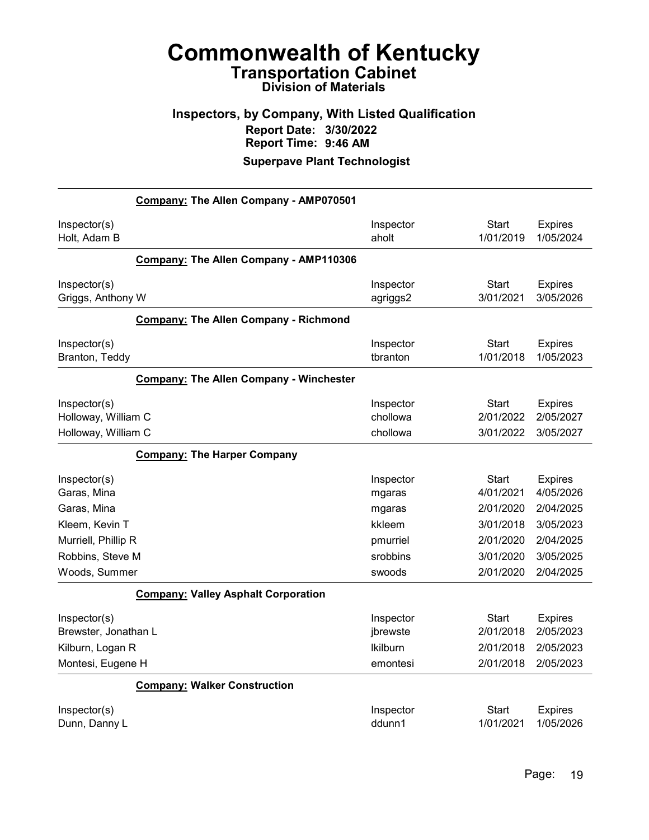# Inspectors, by Company, With Listed Qualification Report Date: 3/30/2022 Report Time: 9:46 AM

|                                                            | Company: The Allen Company - AMP070501       |                                   |                                 |                                          |
|------------------------------------------------------------|----------------------------------------------|-----------------------------------|---------------------------------|------------------------------------------|
| Inspector(s)<br>Holt, Adam B                               |                                              | Inspector<br>aholt                | <b>Start</b><br>1/01/2019       | <b>Expires</b><br>1/05/2024              |
|                                                            | Company: The Allen Company - AMP110306       |                                   |                                 |                                          |
| Inspector(s)<br>Griggs, Anthony W                          |                                              | Inspector<br>agriggs2             | <b>Start</b><br>3/01/2021       | <b>Expires</b><br>3/05/2026              |
|                                                            | <b>Company: The Allen Company - Richmond</b> |                                   |                                 |                                          |
| Inspector(s)<br>Branton, Teddy                             |                                              | Inspector<br>tbranton             | <b>Start</b><br>1/01/2018       | <b>Expires</b><br>1/05/2023              |
|                                                            | Company: The Allen Company - Winchester      |                                   |                                 |                                          |
| Inspector(s)<br>Holloway, William C<br>Holloway, William C |                                              | Inspector<br>chollowa<br>chollowa | Start<br>2/01/2022<br>3/01/2022 | <b>Expires</b><br>2/05/2027<br>3/05/2027 |
|                                                            | <b>Company: The Harper Company</b>           |                                   |                                 |                                          |
| Inspector(s)<br>Garas, Mina                                |                                              | Inspector<br>mgaras               | Start<br>4/01/2021              | <b>Expires</b><br>4/05/2026              |
| Garas, Mina                                                |                                              | mgaras                            | 2/01/2020                       | 2/04/2025                                |
| Kleem, Kevin T                                             |                                              | kkleem                            | 3/01/2018                       | 3/05/2023                                |
| Murriell, Phillip R                                        |                                              | pmurriel                          | 2/01/2020                       | 2/04/2025                                |
| Robbins, Steve M                                           |                                              | srobbins                          | 3/01/2020                       | 3/05/2025                                |
| Woods, Summer                                              |                                              | swoods                            | 2/01/2020                       | 2/04/2025                                |
|                                                            | <b>Company: Valley Asphalt Corporation</b>   |                                   |                                 |                                          |
| Inspector(s)<br>Brewster, Jonathan L                       |                                              | Inspector<br>jbrewste             | <b>Start</b><br>2/01/2018       | <b>Expires</b><br>2/05/2023              |
| Kilburn, Logan R                                           |                                              | <b>Ikilburn</b>                   | 2/01/2018                       | 2/05/2023                                |
| Montesi, Eugene H                                          |                                              | emontesi                          | 2/01/2018                       | 2/05/2023                                |
|                                                            | <b>Company: Walker Construction</b>          |                                   |                                 |                                          |
| Inspector(s)                                               |                                              | Inspector                         | Start                           | <b>Expires</b>                           |
| Dunn, Danny L                                              |                                              | ddunn1                            | 1/01/2021                       | 1/05/2026                                |